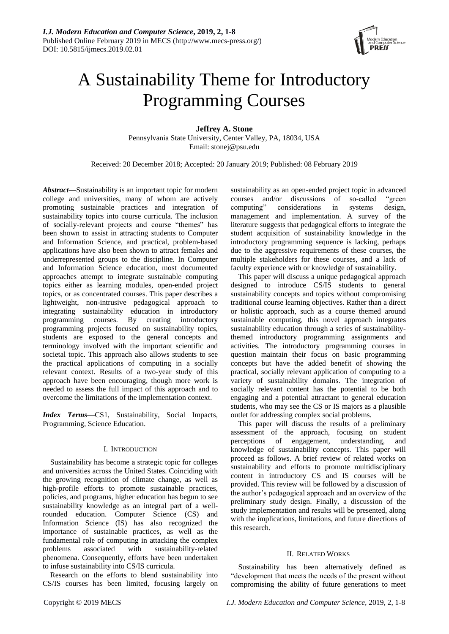

# A Sustainability Theme for Introductory Programming Courses

**Jeffrey A. Stone**

Pennsylvania State University, Center Valley, PA, 18034, USA Email: stonej@psu.edu

Received: 20 December 2018; Accepted: 20 January 2019; Published: 08 February 2019

*Abstract***—**Sustainability is an important topic for modern college and universities, many of whom are actively promoting sustainable practices and integration of sustainability topics into course curricula. The inclusion of socially-relevant projects and course "themes" has been shown to assist in attracting students to Computer and Information Science, and practical, problem-based applications have also been shown to attract females and underrepresented groups to the discipline. In Computer and Information Science education, most documented approaches attempt to integrate sustainable computing topics either as learning modules, open-ended project topics, or as concentrated courses. This paper describes a lightweight, non-intrusive pedagogical approach to integrating sustainability education in introductory programming courses. By creating introductory programming projects focused on sustainability topics, students are exposed to the general concepts and terminology involved with the important scientific and societal topic. This approach also allows students to see the practical applications of computing in a socially relevant context. Results of a two-year study of this approach have been encouraging, though more work is needed to assess the full impact of this approach and to overcome the limitations of the implementation context.

*Index Terms***—**CS1, Sustainability, Social Impacts, Programming, Science Education.

## I. INTRODUCTION

Sustainability has become a strategic topic for colleges and universities across the United States. Coinciding with the growing recognition of climate change, as well as high-profile efforts to promote sustainable practices, policies, and programs, higher education has begun to see sustainability knowledge as an integral part of a wellrounded education. Computer Science (CS) and Information Science (IS) has also recognized the importance of sustainable practices, as well as the fundamental role of computing in attacking the complex problems associated with sustainability-related phenomena. Consequently, efforts have been undertaken to infuse sustainability into CS/IS curricula.

Research on the efforts to blend sustainability into CS/IS courses has been limited, focusing largely on sustainability as an open-ended project topic in advanced courses and/or discussions of so-called "green computing" considerations in systems design, management and implementation. A survey of the literature suggests that pedagogical efforts to integrate the student acquisition of sustainability knowledge in the introductory programming sequence is lacking, perhaps due to the aggressive requirements of these courses, the multiple stakeholders for these courses, and a lack of faculty experience with or knowledge of sustainability.

This paper will discuss a unique pedagogical approach designed to introduce CS/IS students to general sustainability concepts and topics without compromising traditional course learning objectives. Rather than a direct or holistic approach, such as a course themed around sustainable computing, this novel approach integrates sustainability education through a series of sustainabilitythemed introductory programming assignments and activities. The introductory programming courses in question maintain their focus on basic programming concepts but have the added benefit of showing the practical, socially relevant application of computing to a variety of sustainability domains. The integration of socially relevant content has the potential to be both engaging and a potential attractant to general education students, who may see the CS or IS majors as a plausible outlet for addressing complex social problems.

This paper will discuss the results of a preliminary assessment of the approach, focusing on student perceptions of engagement, understanding, and knowledge of sustainability concepts. This paper will proceed as follows. A brief review of related works on sustainability and efforts to promote multidisciplinary content in introductory CS and IS courses will be provided. This review will be followed by a discussion of the author's pedagogical approach and an overview of the preliminary study design. Finally, a discussion of the study implementation and results will be presented, along with the implications, limitations, and future directions of this research.

#### II. RELATED WORKS

Sustainability has been alternatively defined as "development that meets the needs of the present without compromising the ability of future generations to meet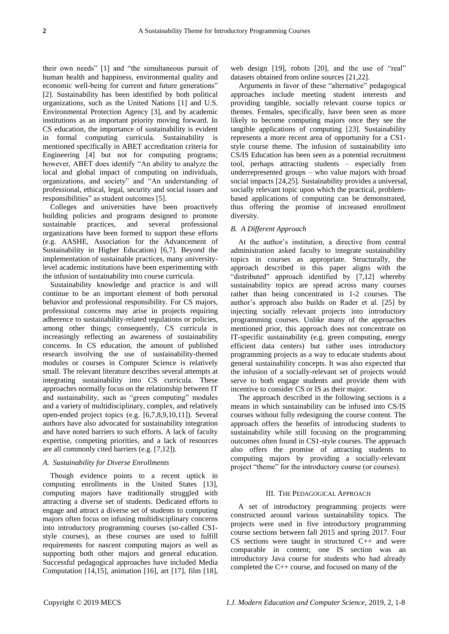their own needs" [1] and "the simultaneous pursuit of human health and happiness, environmental quality and economic well-being for current and future generations" [2]. Sustainability has been identified by both political organizations, such as the United Nations [1] and U.S. Environmental Protection Agency [3], and by academic institutions as an important priority moving forward. In CS education, the importance of sustainability is evident in formal computing curricula. Sustainability is mentioned specifically in ABET accreditation criteria for Engineering [4] but not for computing programs; however, ABET does identify "An ability to analyze the local and global impact of computing on individuals, organizations, and society" and "An understanding of professional, ethical, legal, security and social issues and responsibilities" as student outcomes [5].

Colleges and universities have been proactively building policies and programs designed to promote sustainable practices, and several professional organizations have been formed to support these efforts (e.g. AASHE, Association for the Advancement of Sustainability in Higher Education) [6,7]. Beyond the implementation of sustainable practices, many universitylevel academic institutions have been experimenting with the infusion of sustainability into course curricula.

Sustainability knowledge and practice is and will continue to be an important element of both personal behavior and professional responsibility. For CS majors, professional concerns may arise in projects requiring adherence to sustainability-related regulations or policies, among other things; consequently, CS curricula is increasingly reflecting an awareness of sustainability concerns. In CS education, the amount of published research involving the use of sustainability-themed modules or courses in Computer Science is relatively small. The relevant literature describes several attempts at integrating sustainability into CS curricula. These approaches normally focus on the relationship between IT and sustainability, such as "green computing" modules and a variety of multidisciplinary, complex, and relatively open-ended project topics (e.g. [6,7,8,9,10,11]). Several authors have also advocated for sustainability integration and have noted barriers to such efforts. A lack of faculty expertise, competing priorities, and a lack of resources are all commonly cited barriers (e.g. [7,12]).

## *A. Sustainability for Diverse Enrollments*

Though evidence points to a recent uptick in computing enrollments in the United States [13], computing majors have traditionally struggled with attracting a diverse set of students. Dedicated efforts to engage and attract a diverse set of students to computing majors often focus on infusing multidisciplinary concerns into introductory programming courses (so-called CS1 style courses), as these courses are used to fulfill requirements for nascent computing majors as well as supporting both other majors and general education. Successful pedagogical approaches have included Media Computation [14,15], animation [16], art [17], film [18],

web design [19], robots [20], and the use of "real" datasets obtained from online sources [21,22].

Arguments in favor of these "alternative" pedagogical approaches include meeting student interests and providing tangible, socially relevant course topics or themes. Females, specifically, have been seen as more likely to become computing majors once they see the tangible applications of computing [23]. Sustainability represents a more recent area of opportunity for a CS1 style course theme. The infusion of sustainability into CS/IS Education has been seen as a potential recruitment tool, perhaps attracting students – especially from underrepresented groups – who value majors with broad social impacts [24,25]. Sustainability provides a universal, socially relevant topic upon which the practical, problembased applications of computing can be demonstrated, thus offering the promise of increased enrollment diversity.

# *B. A Different Approach*

At the author's institution, a directive from central administration asked faculty to integrate sustainability topics in courses as appropriate. Structurally, the approach described in this paper aligns with the "distributed" approach identified by [7,12] whereby sustainability topics are spread across many courses rather than being concentrated in 1-2 courses. The author's approach also builds on Rader et al. [25] by injecting socially relevant projects into introductory programming courses. Unlike many of the approaches mentioned prior, this approach does not concentrate on IT-specific sustainability (e.g. green computing, energy efficient data centers) but rather uses introductory programming projects as a way to educate students about general sustainability concepts. It was also expected that the infusion of a socially-relevant set of projects would serve to both engage students and provide them with incentive to consider CS or IS as their major.

The approach described in the following sections is a means in which sustainability can be infused into CS/IS courses without fully redesigning the course content. The approach offers the benefits of introducing students to sustainability while still focusing on the programming outcomes often found in CS1-style courses. The approach also offers the promise of attracting students to computing majors by providing a socially-relevant project "theme" for the introductory course (or courses).

#### III. THE PEDAGOGICAL APPROACH

A set of introductory programming projects were constructed around various sustainability topics. The projects were used in five introductory programming course sections between fall 2015 and spring 2017. Four CS sections were taught in structured C++ and were comparable in content; one IS section was an introductory Java course for students who had already completed the C++ course, and focused on many of the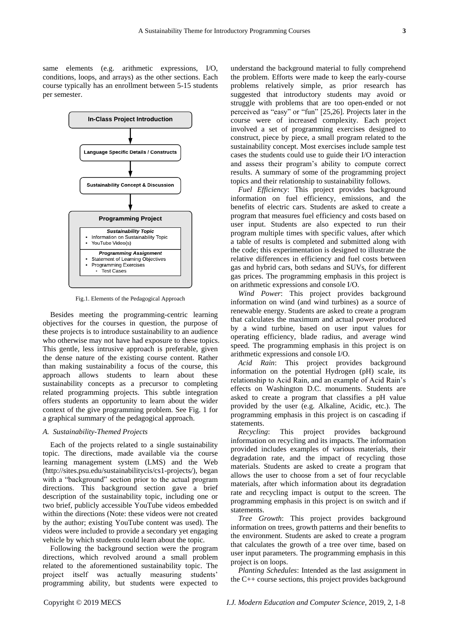same elements (e.g. arithmetic expressions, I/O, conditions, loops, and arrays) as the other sections. Each course typically has an enrollment between 5-15 students per semester.



Fig.1. Elements of the Pedagogical Approach

Besides meeting the programming-centric learning objectives for the courses in question, the purpose of these projects is to introduce sustainability to an audience who otherwise may not have had exposure to these topics. This gentle, less intrusive approach is preferable, given the dense nature of the existing course content. Rather than making sustainability a focus of the course, this approach allows students to learn about these sustainability concepts as a precursor to completing related programming projects. This subtle integration offers students an opportunity to learn about the wider context of the give programming problem. See Fig. 1 for a graphical summary of the pedagogical approach.

# *A. Sustainability-Themed Projects*

Each of the projects related to a single sustainability topic. The directions, made available via the course learning management system (LMS) and the Web (http://sites.psu.edu/sustainabilitycis/cs1-projects/), began with a "background" section prior to the actual program directions. This background section gave a brief description of the sustainability topic, including one or two brief, publicly accessible YouTube videos embedded within the directions (Note: these videos were not created by the author; existing YouTube content was used). The videos were included to provide a secondary yet engaging vehicle by which students could learn about the topic.

Following the background section were the program directions, which revolved around a small problem related to the aforementioned sustainability topic. The project itself was actually measuring students' programming ability, but students were expected to

understand the background material to fully comprehend the problem. Efforts were made to keep the early-course problems relatively simple, as prior research has suggested that introductory students may avoid or struggle with problems that are too open-ended or not perceived as "easy" or "fun" [25,26]. Projects later in the course were of increased complexity. Each project involved a set of programming exercises designed to construct, piece by piece, a small program related to the sustainability concept. Most exercises include sample test cases the students could use to guide their I/O interaction and assess their program's ability to compute correct results. A summary of some of the programming project topics and their relationship to sustainability follows.

*Fuel Efficiency*: This project provides background information on fuel efficiency, emissions, and the benefits of electric cars. Students are asked to create a program that measures fuel efficiency and costs based on user input. Students are also expected to run their program multiple times with specific values, after which a table of results is completed and submitted along with the code; this experimentation is designed to illustrate the relative differences in efficiency and fuel costs between gas and hybrid cars, both sedans and SUVs, for different gas prices. The programming emphasis in this project is on arithmetic expressions and console I/O.

*Wind Power*: This project provides background information on wind (and wind turbines) as a source of renewable energy. Students are asked to create a program that calculates the maximum and actual power produced by a wind turbine, based on user input values for operating efficiency, blade radius, and average wind speed. The programming emphasis in this project is on arithmetic expressions and console I/O.

*Acid Rain*: This project provides background information on the potential Hydrogen (pH) scale, its relationship to Acid Rain, and an example of Acid Rain's effects on Washington D.C. monuments. Students are asked to create a program that classifies a pH value provided by the user (e.g. Alkaline, Acidic, etc.). The programming emphasis in this project is on cascading if statements.

*Recycling*: This project provides background information on recycling and its impacts. The information provided includes examples of various materials, their degradation rate, and the impact of recycling those materials. Students are asked to create a program that allows the user to choose from a set of four recyclable materials, after which information about its degradation rate and recycling impact is output to the screen. The programming emphasis in this project is on switch and if statements.

*Tree Growth*: This project provides background information on trees, growth patterns and their benefits to the environment. Students are asked to create a program that calculates the growth of a tree over time, based on user input parameters. The programming emphasis in this project is on loops.

*Planting Schedules*: Intended as the last assignment in the C++ course sections, this project provides background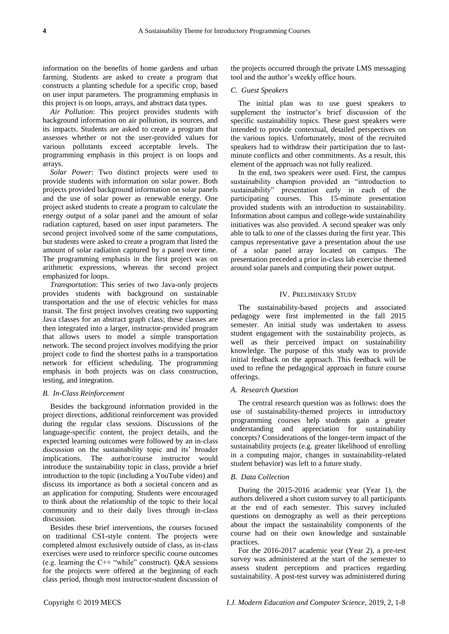information on the benefits of home gardens and urban farming. Students are asked to create a program that constructs a planting schedule for a specific crop, based on user input parameters. The programming emphasis in this project is on loops, arrays, and abstract data types.

*Air Pollution*: This project provides students with background information on air pollution, its sources, and its impacts. Students are asked to create a program that assesses whether or not the user-provided values for various pollutants exceed acceptable levels. The programming emphasis in this project is on loops and arrays.

*Solar Power*: Two distinct projects were used to provide students with information on solar power. Both projects provided background information on solar panels and the use of solar power as renewable energy. One project asked students to create a program to calculate the energy output of a solar panel and the amount of solar radiation captured, based on user input parameters. The second project involved some of the same computations, but students were asked to create a program that listed the amount of solar radiation captured by a panel over time. The programming emphasis in the first project was on arithmetic expressions, whereas the second project emphasized for loops.

*Transportation*: This series of two Java-only projects provides students with background on sustainable transportation and the use of electric vehicles for mass transit. The first project involves creating two supporting Java classes for an abstract graph class; these classes are then integrated into a larger, instructor-provided program that allows users to model a simple transportation network. The second project involves modifying the prior project code to find the shortest paths in a transportation network for efficient scheduling. The programming emphasis in both projects was on class construction, testing, and integration.

#### *B. In-Class Reinforcement*

Besides the background information provided in the project directions, additional reinforcement was provided during the regular class sessions. Discussions of the language-specific content, the project details, and the expected learning outcomes were followed by an in-class discussion on the sustainability topic and its' broader implications. The author/course instructor would introduce the sustainability topic in class, provide a brief introduction to the topic (including a YouTube video) and discuss its importance as both a societal concern and as an application for computing. Students were encouraged to think about the relationship of the topic to their local community and to their daily lives through in-class discussion.

Besides these brief interventions, the courses focused on traditional CS1-style content. The projects were completed almost exclusively outside of class, as in-class exercises were used to reinforce specific course outcomes (e.g. learning the  $C++$  "while" construct). Q&A sessions for the projects were offered at the beginning of each class period, though most instructor-student discussion of the projects occurred through the private LMS messaging tool and the author's weekly office hours.

## *C. Guest Speakers*

The initial plan was to use guest speakers to supplement the instructor's brief discussion of the specific sustainability topics. These guest speakers were intended to provide contextual, detailed perspectives on the various topics. Unfortunately, most of the recruited speakers had to withdraw their participation due to lastminute conflicts and other commitments. As a result, this element of the approach was not fully realized.

In the end, two speakers were used. First, the campus sustainability champion provided an "introduction to sustainability" presentation early in each of the participating courses. This 15-minute presentation provided students with an introduction to sustainability. Information about campus and college-wide sustainability initiatives was also provided. A second speaker was only able to talk to one of the classes during the first year. This campus representative gave a presentation about the use of a solar panel array located on campus. The presentation preceded a prior in-class lab exercise themed around solar panels and computing their power output.

# IV. PRELIMINARY STUDY

The sustainability-based projects and associated pedagogy were first implemented in the fall 2015 semester. An initial study was undertaken to assess student engagement with the sustainability projects, as well as their perceived impact on sustainability knowledge. The purpose of this study was to provide initial feedback on the approach. This feedback will be used to refine the pedagogical approach in future course offerings.

### *A. Research Question*

The central research question was as follows: does the use of sustainability-themed projects in introductory programming courses help students gain a greater understanding and appreciation for sustainability concepts? Considerations of the longer-term impact of the sustainability projects (e.g. greater likelihood of enrolling in a computing major, changes in sustainability-related student behavior) was left to a future study.

## *B. Data Collection*

During the 2015-2016 academic year (Year 1), the authors delivered a short custom survey to all participants at the end of each semester. This survey included questions on demography as well as their perceptions about the impact the sustainability components of the course had on their own knowledge and sustainable practices.

For the 2016-2017 academic year (Year 2), a pre-test survey was administered at the start of the semester to assess student perceptions and practices regarding sustainability. A post-test survey was administered during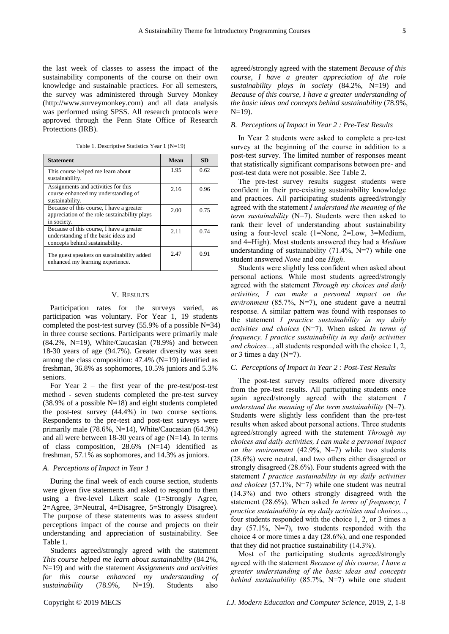the last week of classes to assess the impact of the sustainability components of the course on their own knowledge and sustainable practices. For all semesters, the survey was administered through Survey Monkey (http://www.surveymonkey.com) and all data analysis was performed using SPSS. All research protocols were approved through the Penn State Office of Research Protections (IRB).

Table 1. Descriptive Statistics Year 1 (N=19)

| <b>Statement</b>                                                                                                    | Mean | <b>SD</b> |
|---------------------------------------------------------------------------------------------------------------------|------|-----------|
| This course helped me learn about<br>sustainability.                                                                | 1.95 | 0.62      |
| Assignments and activities for this<br>course enhanced my understanding of<br>sustainability.                       | 2.16 | 0.96      |
| Because of this course, I have a greater<br>appreciation of the role sustainability plays<br>in society.            | 2.00 | 0.75      |
| Because of this course, I have a greater<br>understanding of the basic ideas and<br>concepts behind sustainability. | 2.11 | 0.74      |
| The guest speakers on sustainability added<br>enhanced my learning experience.                                      | 2.47 | 0.91      |

#### V. RESULTS

Participation rates for the surveys varied, as participation was voluntary. For Year 1, 19 students completed the post-test survey  $(55.9\% \text{ of a possible N=34})$ in three course sections. Participants were primarily male  $(84.2\% \text{ N} = 19)$ , White/Caucasian  $(78.9\%)$  and between 18-30 years of age (94.7%). Greater diversity was seen among the class composition: 47.4% (N=19) identified as freshman, 36.8% as sophomores, 10.5% juniors and 5.3% seniors.

For Year  $2$  – the first year of the pre-test/post-test method - seven students completed the pre-test survey  $(38.9\% \text{ of a possible N=18})$  and eight students completed the post-test survey (44.4%) in two course sections. Respondents to the pre-test and post-test surveys were primarily male (78.6%, N=14), White/Caucasian (64.3%) and all were between 18-30 years of age (N=14). In terms of class composition, 28.6% (N=14) identified as freshman, 57.1% as sophomores, and 14.3% as juniors.

## *A. Perceptions of Impact in Year 1*

During the final week of each course section, students were given five statements and asked to respond to them using a five-level Likert scale (1=Strongly Agree, 2=Agree, 3=Neutral, 4=Disagree, 5=Strongly Disagree). The purpose of these statements was to assess student perceptions impact of the course and projects on their understanding and appreciation of sustainability. See Table 1.

Students agreed/strongly agreed with the statement *This course helped me learn about sustainability* (84.2%, N=19) and with the statement *Assignments and activities for this course enhanced my understanding of sustainability* (78.9%, N=19). Students also

agreed/strongly agreed with the statement *Because of this course, I have a greater appreciation of the role sustainability plays in society* (84.2%, N=19) and *Because of this course, I have a greater understanding of the basic ideas and concepts behind sustainability* (78.9%,  $N=19$ ).

# *B. Perceptions of Impact in Year 2 : Pre-Test Results*

In Year 2 students were asked to complete a pre-test survey at the beginning of the course in addition to a post-test survey. The limited number of responses meant that statistically significant comparisons between pre- and post-test data were not possible. See Table 2.

The pre-test survey results suggest students were confident in their pre-existing sustainability knowledge and practices. All participating students agreed/strongly agreed with the statement *I understand the meaning of the term sustainability* (N=7). Students were then asked to rank their level of understanding about sustainability using a four-level scale (1=None, 2=Low, 3=Medium, and 4=High). Most students answered they had a *Medium* understanding of sustainability (71.4%, N=7) while one student answered *None* and one *High*.

Students were slightly less confident when asked about personal actions. While most students agreed/strongly agreed with the statement *Through my choices and daily activities, I can make a personal impact on the environment* (85.7%, N=7), one student gave a neutral response. A similar pattern was found with responses to the statement *I practice sustainability in my daily activities and choices* (N=7). When asked *In terms of frequency, I practice sustainability in my daily activities and choices...*, all students responded with the choice 1, 2, or 3 times a day  $(N=7)$ .

# *C. Perceptions of Impact in Year 2 : Post-Test Results*

The post-test survey results offered more diversity from the pre-test results. All participating students once again agreed/strongly agreed with the statement *I understand the meaning of the term sustainability* (N=7). Students were slightly less confident than the pre-test results when asked about personal actions. Three students agreed/strongly agreed with the statement *Through my choices and daily activities, I can make a personal impact on the environment* (42.9%, N=7) while two students (28.6%) were neutral, and two others either disagreed or strongly disagreed (28.6%). Four students agreed with the statement *I practice sustainability in my daily activities and choices* (57.1%, N=7) while one student was neutral (14.3%) and two others strongly disagreed with the statement (28.6%). When asked *In terms of frequency, I practice sustainability in my daily activities and choices...*, four students responded with the choice 1, 2, or 3 times a day  $(57.1\%, \text{N=7})$ , two students responded with the choice 4 or more times a day (28.6%), and one responded that they did not practice sustainability (14.3%).

Most of the participating students agreed/strongly agreed with the statement *Because of this course, I have a greater understanding of the basic ideas and concepts behind sustainability* (85.7%, N=7) while one student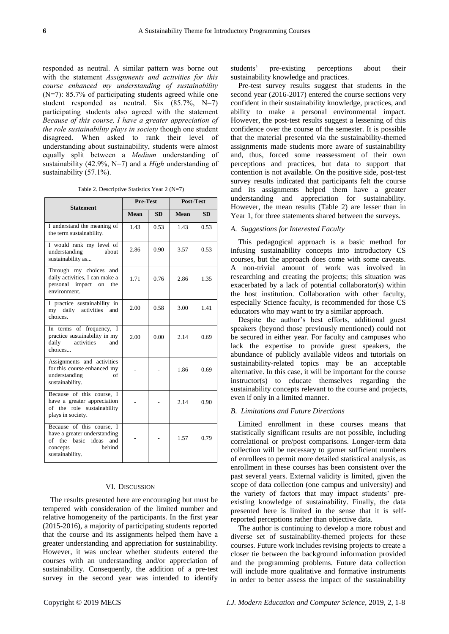responded as neutral. A similar pattern was borne out with the statement *Assignments and activities for this course enhanced my understanding of sustainability* (N=7): 85.7% of participating students agreed while one student responded as neutral. Six (85.7%, N=7) participating students also agreed with the statement *Because of this course, I have a greater appreciation of the role sustainability plays in society* though one student disagreed. When asked to rank their level of understanding about sustainability, students were almost equally split between a *Medium* understanding of sustainability (42.9%, N=7) and a *High* understanding of sustainability (57.1%).

Table 2. Descriptive Statistics Year 2 (N=7)

| <b>Statement</b>                                                                                                             | <b>Pre-Test</b> |           | <b>Post-Test</b> |           |
|------------------------------------------------------------------------------------------------------------------------------|-----------------|-----------|------------------|-----------|
|                                                                                                                              | Mean            | <b>SD</b> | Mean             | <b>SD</b> |
| I understand the meaning of<br>the term sustainability.                                                                      | 1.43            | 0.53      | 1.43             | 0.53      |
| I would rank my level of<br>understanding<br>about<br>sustainability as                                                      | 2.86            | 0.90      | 3.57             | 0.53      |
| Through my choices and<br>daily activities, I can make a<br>personal impact on<br>the<br>environment.                        | 1.71            | 0.76      | 2.86             | 1.35      |
| I practice sustainability in<br>my daily activities<br>and<br>choices                                                        | 2.00            | 0.58      | 3.00             | 1.41      |
| In terms of frequency, I<br>practice sustainability in my<br>daily<br>activities<br>and<br>choices                           | 2.00            | 0.00      | 2.14             | 0.69      |
| Assignments and activities<br>for this course enhanced my<br>understanding<br>of<br>sustainability.                          |                 |           | 1.86             | 0.69      |
| Because of this course, I<br>have a greater appreciation<br>of the role sustainability<br>plays in society.                  |                 |           | 2.14             | 0.90      |
| Because of this course, I<br>have a greater understanding<br>of the basic ideas and<br>behind<br>concepts<br>sustainability. |                 |           | 1.57             | 0.79      |

#### VI. DISCUSSION

The results presented here are encouraging but must be tempered with consideration of the limited number and relative homogeneity of the participants. In the first year (2015-2016), a majority of participating students reported that the course and its assignments helped them have a greater understanding and appreciation for sustainability. However, it was unclear whether students entered the courses with an understanding and/or appreciation of sustainability. Consequently, the addition of a pre-test survey in the second year was intended to identify

students' pre-existing perceptions about their sustainability knowledge and practices.

Pre-test survey results suggest that students in the second year (2016-2017) entered the course sections very confident in their sustainability knowledge, practices, and ability to make a personal environmental impact. However, the post-test results suggest a lessening of this confidence over the course of the semester. It is possible that the material presented via the sustainability-themed assignments made students more aware of sustainability and, thus, forced some reassessment of their own perceptions and practices, but data to support that contention is not available. On the positive side, post-test survey results indicated that participants felt the course and its assignments helped them have a greater understanding and appreciation for sustainability. However, the mean results (Table 2) are lesser than in Year 1, for three statements shared between the surveys.

## *A. Suggestions for Interested Faculty*

This pedagogical approach is a basic method for infusing sustainability concepts into introductory CS courses, but the approach does come with some caveats. A non-trivial amount of work was involved in researching and creating the projects; this situation was exacerbated by a lack of potential collaborator(s) within the host institution. Collaboration with other faculty, especially Science faculty, is recommended for those CS educators who may want to try a similar approach.

Despite the author's best efforts, additional guest speakers (beyond those previously mentioned) could not be secured in either year. For faculty and campuses who lack the expertise to provide guest speakers, the abundance of publicly available videos and tutorials on sustainability-related topics may be an acceptable alternative. In this case, it will be important for the course instructor(s) to educate themselves regarding the sustainability concepts relevant to the course and projects, even if only in a limited manner.

## *B. Limitations and Future Directions*

Limited enrollment in these courses means that statistically significant results are not possible, including correlational or pre/post comparisons. Longer-term data collection will be necessary to garner sufficient numbers of enrollees to permit more detailed statistical analysis, as enrollment in these courses has been consistent over the past several years. External validity is limited, given the scope of data collection (one campus and university) and the variety of factors that may impact students' preexisting knowledge of sustainability. Finally, the data presented here is limited in the sense that it is selfreported perceptions rather than objective data.

The author is continuing to develop a more robust and diverse set of sustainability-themed projects for these courses. Future work includes revising projects to create a closer tie between the background information provided and the programming problems. Future data collection will include more qualitative and formative instruments in order to better assess the impact of the sustainability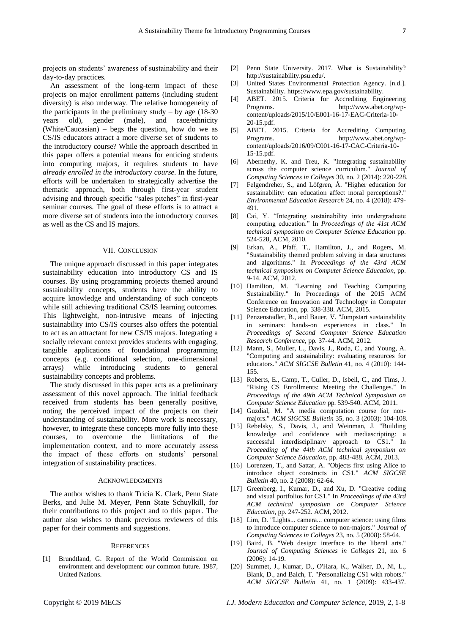projects on students' awareness of sustainability and their day-to-day practices.

An assessment of the long-term impact of these projects on major enrollment patterns (including student diversity) is also underway. The relative homogeneity of the participants in the preliminary study – by age  $(18-30)$ years old), gender (male), and race/ethnicity (White/Caucasian) – begs the question, how do we as CS/IS educators attract a more diverse set of students to the introductory course? While the approach described in this paper offers a potential means for enticing students into computing majors, it requires students to have *already enrolled in the introductory course*. In the future, efforts will be undertaken to strategically advertise the thematic approach, both through first-year student advising and through specific "sales pitches" in first-year seminar courses. The goal of these efforts is to attract a more diverse set of students into the introductory courses as well as the CS and IS majors.

### VII. CONCLUSION

The unique approach discussed in this paper integrates sustainability education into introductory CS and IS courses. By using programming projects themed around sustainability concepts, students have the ability to acquire knowledge and understanding of such concepts while still achieving traditional CS/IS learning outcomes. This lightweight, non-intrusive means of injecting sustainability into CS/IS courses also offers the potential to act as an attractant for new CS/IS majors. Integrating a socially relevant context provides students with engaging, tangible applications of foundational programming concepts (e.g. conditional selection, one-dimensional arrays) while introducing students to general sustainability concepts and problems.

The study discussed in this paper acts as a preliminary assessment of this novel approach. The initial feedback received from students has been generally positive, noting the perceived impact of the projects on their understanding of sustainability. More work is necessary, however, to integrate these concepts more fully into these courses, to overcome the limitations of the implementation context, and to more accurately assess the impact of these efforts on students' personal integration of sustainability practices.

#### ACKNOWLEDGMENTS

The author wishes to thank Tricia K. Clark, Penn State Berks, and Julie M. Meyer, Penn State Schuylkill, for their contributions to this project and to this paper. The author also wishes to thank previous reviewers of this paper for their comments and suggestions.

#### **REFERENCES**

[1] Brundtland, G. Report of the World Commission on environment and development: our common future. 1987, United Nations.

- [2] Penn State University. 2017. What is Sustainability? http://sustainability.psu.edu/.
- [3] United States Environmental Protection Agency. [n.d.]. Sustainability. https://www.epa.gov/sustainability.
- [4] ABET. 2015. Criteria for Accrediting Engineering Programs. http://www.abet.org/wpcontent/uploads/2015/10/E001-16-17-EAC-Criteria-10- 20-15.pdf.
- [5] ABET. 2015. Criteria for Accrediting Computing Programs. http://www.abet.org/wpcontent/uploads/2016/09/C001-16-17-CAC-Criteria-10- 15-15.pdf.
- [6] Abernethy, K. and Treu, K. "Integrating sustainability across the computer science curriculum." *Journal of Computing Sciences in Colleges* 30, no. 2 (2014): 220-228.
- [7] Felgendreher, S., and Löfgren, Å. "Higher education for sustainability: can education affect moral perceptions?." *Environmental Education Research* 24, no. 4 (2018): 479- 491.
- [8] Cai, Y. "Integrating sustainability into undergraduate computing education." In *Proceedings of the 41st ACM technical symposium on Computer Science Education* pp. 524-528, ACM, 2010.
- [9] Erkan, A., Pfaff, T., Hamilton, J., and Rogers, M. "Sustainability themed problem solving in data structures and algorithms." In *Proceedings of the 43rd ACM technical symposium on Computer Science Education*, pp. 9-14. ACM, 2012.
- [10] Hamilton, M. "Learning and Teaching Computing Sustainability." In Proceedings of the 2015 ACM Conference on Innovation and Technology in Computer Science Education, pp. 338-338. ACM, 2015.
- [11] Penzenstadler, B., and Bauer, V. "Jumpstart sustainability in seminars: hands-on experiences in class." In *Proceedings of Second Computer Science Education Research Conference*, pp. 37-44. ACM, 2012.
- [12] Mann, S., Muller, L., Davis, J., Roda, C., and Young, A. "Computing and sustainability: evaluating resources for educators." *ACM SIGCSE Bulletin* 41, no. 4 (2010): 144- 155.
- [13] Roberts, E., Camp, T., Culler, D., Isbell, C., and Tims, J. "Rising CS Enrollments: Meeting the Challenges." In *Proceedings of the 49th ACM Technical Symposium on Computer Science Education* pp. 539-540. ACM, 2011.
- [14] Guzdial, M. "A media computation course for nonmajors." *ACM SIGCSE Bulletin* 35, no. 3 (2003): 104-108.
- [15] Rebelsky, S., Davis, J., and Weinman, J. "Building knowledge and confidence with mediascripting: a successful interdisciplinary approach to CS1." In *Proceeding of the 44th ACM technical symposium on Computer Science Education*, pp. 483-488. ACM, 2013.
- [16] Lorenzen, T., and Sattar, A. "Objects first using Alice to introduce object constructs in CS1." *ACM SIGCSE Bulletin* 40, no. 2 (2008): 62-64.
- [17] Greenberg, I., Kumar, D., and Xu, D. "Creative coding and visual portfolios for CS1." In *Proceedings of the 43rd ACM technical symposium on Computer Science Education*, pp. 247-252. ACM, 2012.
- [18] Lim, D. "Lights... camera... computer science: using films to introduce computer science to non-majors." *Journal of Computing Sciences in Colleges* 23, no. 5 (2008): 58-64.
- [19] Baird, B. "Web design: interface to the liberal arts." *Journal of Computing Sciences in Colleges* 21, no. 6 (2006): 14-19.
- [20] Summet, J., Kumar, D., O'Hara, K., Walker, D., Ni, L., Blank, D., and Balch, T. "Personalizing CS1 with robots." *ACM SIGCSE Bulletin* 41, no. 1 (2009): 433-437.